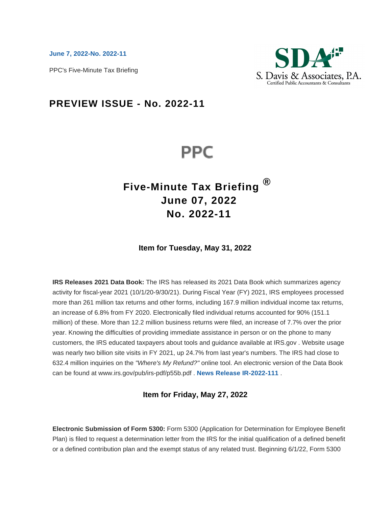**[June 7, 2022-No. 2022-11](https://checkpoint.riag.com/app/find?begParm=y&appVer=22.05&dbName=PPCFMTB&linkType=docloc&locId=2022-11&ods=PPCFMTB&permaId=iPREISSPPCFMTB&permaType=doc&scrollAbort=true&tagName=NEWSLTR&endParm=y)**

PPC's Five-Minute Tax Briefing



# **PREVIEW ISSUE - No. 2022-11**

# **PPC**

# **Five-Minute Tax Briefing ® June 07, 2022 No. 2022-11**

# **Item for Tuesday, May 31, 2022**

**IRS Releases 2021 Data Book:** The IRS has released its 2021 Data Book which summarizes agency activity for fiscal-year 2021 (10/1/20-9/30/21). During Fiscal Year (FY) 2021, IRS employees processed more than 261 million tax returns and other forms, including 167.9 million individual income tax returns, an increase of 6.8% from FY 2020. Electronically filed individual returns accounted for 90% (151.1 million) of these. More than 12.2 million business returns were filed, an increase of 7.7% over the prior year. Knowing the difficulties of providing immediate assistance in person or on the phone to many customers, the IRS educated taxpayers about tools and guidance available at IRS.gov . Website usage was nearly two billion site visits in FY 2021, up 24.7% from last year's numbers. The IRS had close to 632.4 million inquiries on the "Where's My Refund?" online tool. An electronic version of the Data Book can be found at www.irs.gov/pub/irs-pdf/p55b.pdf . **[News Release IR-2022-111](https://checkpoint.riag.com/app/find?begParm=y&app.version=22.05&dbName=ADVRULNG&linkType=docloc&locId=2022-111&permaId=ibfd5437a81c463378a7fca187c1e2994&tagName=IRNEWS&endParm=y)** .

# **Item for Friday, May 27, 2022**

**Electronic Submission of Form 5300:** Form 5300 (Application for Determination for Employee Benefit Plan) is filed to request a determination letter from the IRS for the initial qualification of a defined benefit or a defined contribution plan and the exempt status of any related trust. Beginning 6/1/22, Form 5300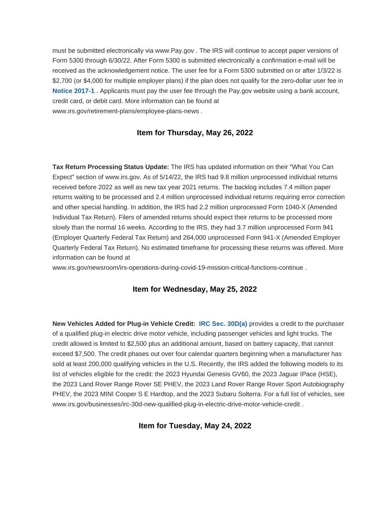must be submitted electronically via www.Pay.gov . The IRS will continue to accept paper versions of Form 5300 through 6/30/22. After Form 5300 is submitted electronically a confirmation e-mail will be received as the acknowledgement notice. The user fee for a Form 5300 submitted on or after 1/3/22 is \$2,700 (or \$4,000 for multiple employer plans) if the plan does not qualify for the zero-dollar user fee in **[Notice 2017-1](https://checkpoint.riag.com/app/find?begParm=y&app.version=22.05&dbName=RULNG70&linkType=docloc&locId=notice2017-1&permaId=i58cfd5ed28a3ed73bc4cae5f5278b94f&tagName=NOTICE&endParm=y)** . Applicants must pay the user fee through the Pay.gov website using a bank account, credit card, or debit card. More information can be found at www.irs.gov/retirement-plans/employee-plans-news .

### **Item for Thursday, May 26, 2022**

**Tax Return Processing Status Update:** The IRS has updated information on their "What You Can Expect" section of www.irs.gov. As of 5/14/22, the IRS had 9.8 million unprocessed individual returns received before 2022 as well as new tax year 2021 returns. The backlog includes 7.4 million paper returns waiting to be processed and 2.4 million unprocessed individual returns requiring error correction and other special handling. In addition, the IRS had 2.2 million unprocessed Form 1040-X (Amended Individual Tax Return). Filers of amended returns should expect their returns to be processed more slowly than the normal 16 weeks. According to the IRS, they had 3.7 million unprocessed Form 941 (Employer Quarterly Federal Tax Return) and 264,000 unprocessed Form 941-X (Amended Employer Quarterly Federal Tax Return). No estimated timeframe for processing these returns was offered. More information can be found at

www.irs.gov/newsroom/irs-operations-during-covid-19-mission-critical-functions-continue .

### **Item for Wednesday, May 25, 2022**

**New Vehicles Added for Plug-in Vehicle Credit: [IRC Sec. 30D\(a\)](https://checkpoint.riag.com/app/find?begParm=y&app.version=22.05&dbName=TCODE&linkType=docloc&locId=30d%28a%29&permaId=i5f7eacc4fd4211dda4770a48867caa77&tagName=SBSEC&endParm=y)** provides a credit to the purchaser of a qualified plug-in electric drive motor vehicle, including passenger vehicles and light trucks. The credit allowed is limited to \$2,500 plus an additional amount, based on battery capacity, that cannot exceed \$7,500. The credit phases out over four calendar quarters beginning when a manufacturer has sold at least 200,000 qualifying vehicles in the U.S. Recently, the IRS added the following models to its list of vehicles eligible for the credit: the 2023 Hyundai Genesis GV60, the 2023 Jaguar IPace (HSE), the 2023 Land Rover Range Rover SE PHEV, the 2023 Land Rover Range Rover Sport Autobiography PHEV, the 2023 MINI Cooper S E Hardtop, and the 2023 Subaru Solterra. For a full list of vehicles, see www.irs.gov/businesses/irc-30d-new-qualified-plug-in-electric-drive-motor-vehicle-credit .

**Item for Tuesday, May 24, 2022**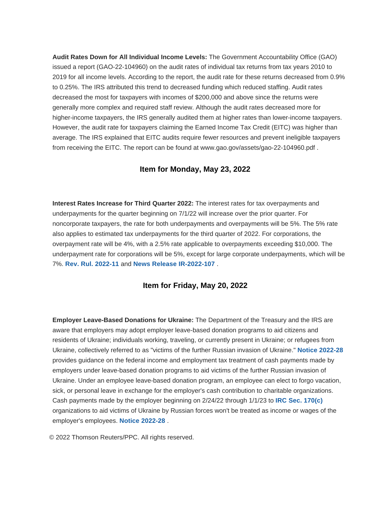**Audit Rates Down for All Individual Income Levels:** The Government Accountability Office (GAO) issued a report (GAO-22-104960) on the audit rates of individual tax returns from tax years 2010 to 2019 for all income levels. According to the report, the audit rate for these returns decreased from 0.9% to 0.25%. The IRS attributed this trend to decreased funding which reduced staffing. Audit rates decreased the most for taxpayers with incomes of \$200,000 and above since the returns were generally more complex and required staff review. Although the audit rates decreased more for higher-income taxpayers, the IRS generally audited them at higher rates than lower-income taxpayers. However, the audit rate for taxpayers claiming the Earned Income Tax Credit (EITC) was higher than average. The IRS explained that EITC audits require fewer resources and prevent ineligible taxpayers from receiving the EITC. The report can be found at www.gao.gov/assets/gao-22-104960.pdf .

# **Item for Monday, May 23, 2022**

**Interest Rates Increase for Third Quarter 2022:** The interest rates for tax overpayments and underpayments for the quarter beginning on 7/1/22 will increase over the prior quarter. For noncorporate taxpayers, the rate for both underpayments and overpayments will be 5%. The 5% rate also applies to estimated tax underpayments for the third quarter of 2022. For corporations, the overpayment rate will be 4%, with a 2.5% rate applicable to overpayments exceeding \$10,000. The underpayment rate for corporations will be 5%, except for large corporate underpayments, which will be 7%. **[Rev. Rul. 2022-11](https://checkpoint.riag.com/app/find?begParm=y&app.version=22.05&dbName=RULINGS&linkType=docloc&locId=revrul2022-11&permaId=i47f336cf05b2eb65c08bee0f32a6e813&tagName=REVRULE&endParm=y)** and **[News Release IR-2022-107](https://checkpoint.riag.com/app/find?begParm=y&app.version=22.05&dbName=RULINGS&linkType=docloc&locId=ir_2022-107&permaId=i88e0e49f812bcf03b58adbc43b3189fe&tagName=IRNEWS&endParm=y)** .

#### **Item for Friday, May 20, 2022**

**Employer Leave-Based Donations for Ukraine:** The Department of the Treasury and the IRS are aware that employers may adopt employer leave-based donation programs to aid citizens and residents of Ukraine; individuals working, traveling, or currently present in Ukraine; or refugees from Ukraine, collectively referred to as "victims of the further Russian invasion of Ukraine." **[Notice 2022-28](https://checkpoint.riag.com/app/find?begParm=y&app.version=22.05&dbName=RULINGS&linkType=docloc&locId=preamble_notice2022-28&permaId=ibaf2d116d2874697e7bbde6b7a162c55&tagName=NOTICE&endParm=y)** provides guidance on the federal income and employment tax treatment of cash payments made by employers under leave-based donation programs to aid victims of the further Russian invasion of Ukraine. Under an employee leave-based donation program, an employee can elect to forgo vacation, sick, or personal leave in exchange for the employer's cash contribution to charitable organizations. Cash payments made by the employer beginning on 2/24/22 through 1/1/23 to **[IRC Sec. 170\(c\)](https://checkpoint.riag.com/app/find?begParm=y&app.version=22.05&dbName=TCODE&linkType=docloc&locId=170%28c%29&permaId=i92af54ae19d711dcb1a9c7f8ee2eaa77&tagName=SBSEC&endParm=y)** organizations to aid victims of Ukraine by Russian forces won't be treated as income or wages of the employer's employees. **[Notice 2022-28](https://checkpoint.riag.com/app/find?begParm=y&app.version=22.05&dbName=RULINGS&linkType=docloc&locId=preamble_notice2022-28&permaId=ibaf2d116d2874697e7bbde6b7a162c55&tagName=NOTICE&endParm=y)** .

© 2022 Thomson Reuters/PPC. All rights reserved.